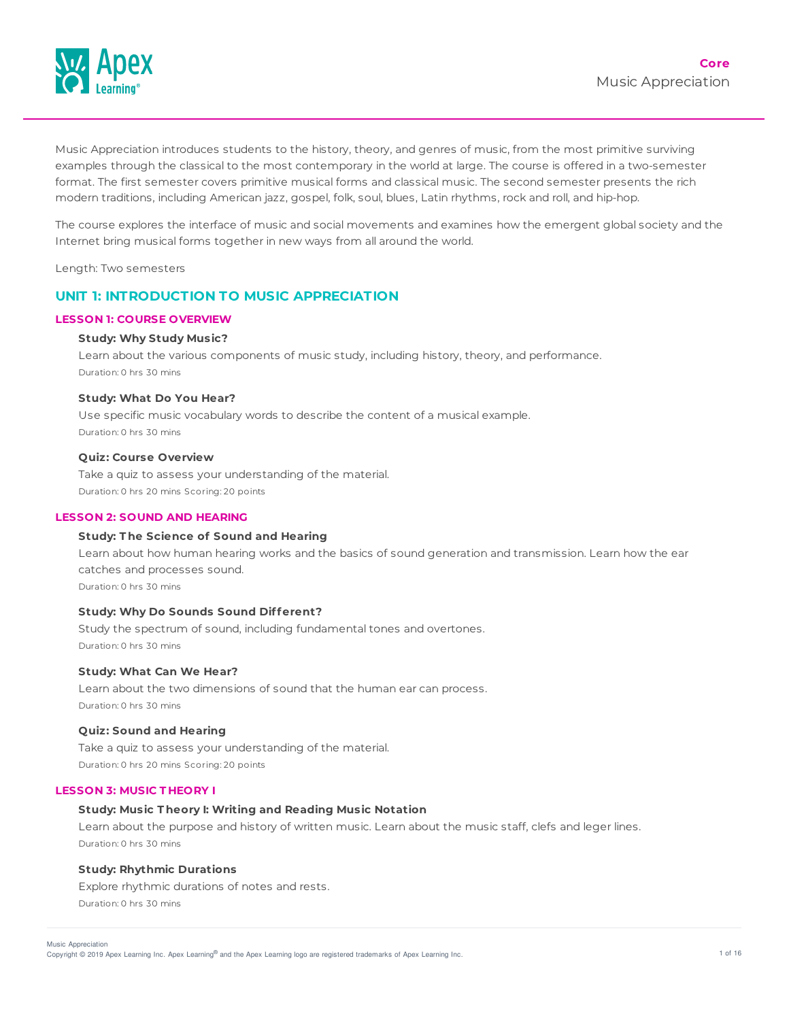

Music Appreciation introduces students to the history, theory, and genres of music, from the most primitive surviving examples through the classical to the most contemporary in the world at large. The course is offered in a two-semester format. The first semester covers primitive musical forms and classical music. The second semester presents the rich modern traditions, including American jazz, gospel, folk, soul, blues, Latin rhythms, rock and roll, and hip-hop.

The course explores the interface of music and social movements and examines how the emergent global society and the Internet bring musical forms together in new ways from all around the world.

Length: Two semesters

## **UNIT 1: INTRODUCTION TO MUSIC APPRECIATION**

### **LESSON 1: COURSE OVERVIEW**

## **Study: Why Study Music?**

Learn about the various components of music study, including history, theory, and performance. Duration: 0 hrs 30 mins

#### **Study: What Do You Hear?**

Use specific music vocabulary words to describe the content of a musical example. Duration: 0 hrs 30 mins

#### **Quiz: Course Overview**

Take a quiz to assess your understanding of the material. Duration: 0 hrs 20 mins Scoring: 20 points

### **LESSON 2: SOUND AND HEARING**

### **Study: T he Science of Sound and Hearing**

Learn about how human hearing works and the basics of sound generation and transmission. Learn how the ear catches and processes sound. Duration: 0 hrs 30 mins

## **Study: Why Do Sounds Sound Different?**

Study the spectrum of sound, including fundamental tones and overtones. Duration: 0 hrs 30 mins

### **Study: What Can We Hear?**

Learn about the two dimensions of sound that the human ear can process. Duration: 0 hrs 30 mins

### **Quiz: Sound and Hearing**

Take a quiz to assess your understanding of the material. Duration: 0 hrs 20 mins Scoring: 20 points

### **LESSON 3: MUSIC T HEORY I**

#### **Study: Music T heory I: Writing and Reading Music Notation**

Learn about the purpose and history of written music. Learn about the music staff, clefs and leger lines. Duration: 0 hrs 30 mins

## **Study: Rhythmic Durations**

Explore rhythmic durations of notes and rests. Duration: 0 hrs 30 mins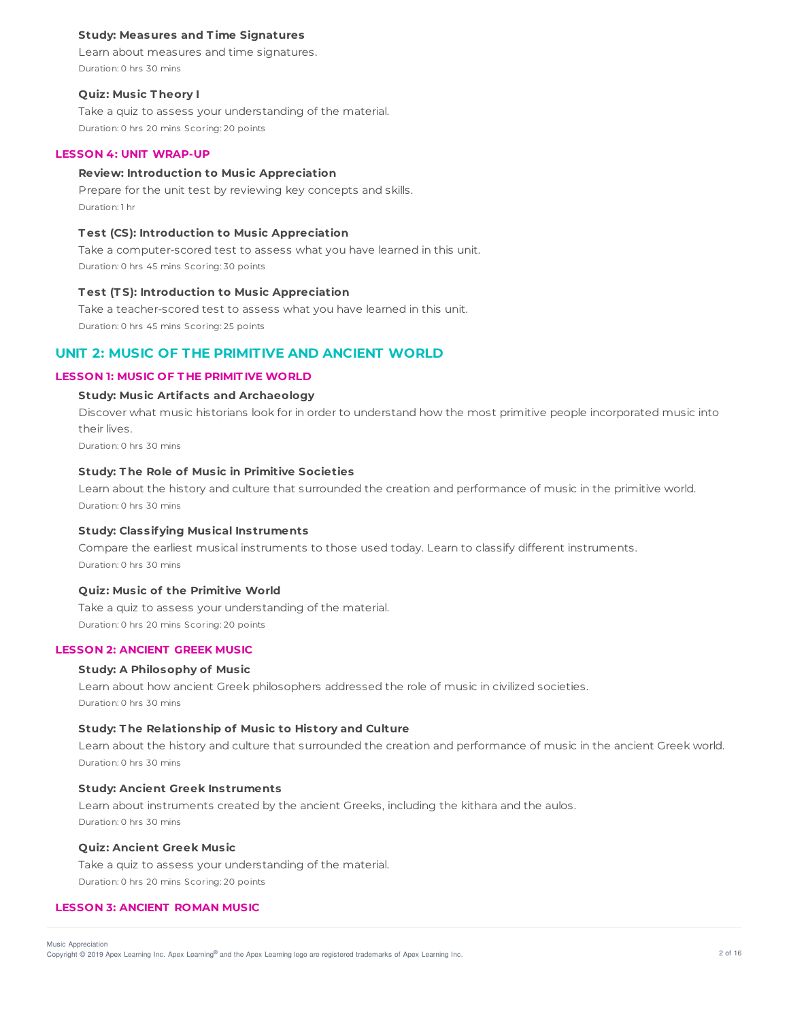## **Study: Measures and T ime Signatures**

Learn about measures and time signatures. Duration: 0 hrs 30 mins

### **Quiz: Music T heory I**

Take a quiz to assess your understanding of the material. Duration: 0 hrs 20 mins Scoring: 20 points

### **LESSON 4: UNIT WRAP-UP**

## **Review: Introduction to Music Appreciation**

Prepare for the unit test by reviewing key concepts and skills. Duration: 1 hr

## **T est (CS): Introduction to Music Appreciation**

Take a computer-scored test to assess what you have learned in this unit. Duration: 0 hrs 45 mins Scoring: 30 points

#### **T est (T S): Introduction to Music Appreciation**

Take a teacher-scored test to assess what you have learned in this unit. Duration: 0 hrs 45 mins Scoring: 25 points

# **UNIT 2: MUSIC OF THE PRIMITIVE AND ANCIENT WORLD**

### **LESSON 1: MUSIC OF T HE PRIMIT IVE WORLD**

# **Study: Music Artifacts and Archaeology**

Discover what music historians look for in order to understand how the most primitive people incorporated music into their lives.

Duration: 0 hrs 30 mins

## **Study: T he Role of Music in Primitive Societies**

Learn about the history and culture that surrounded the creation and performance of music in the primitive world. Duration: 0 hrs 30 mins

## **Study: Classifying Musical Instruments**

Compare the earliest musical instruments to those used today. Learn to classify different instruments. Duration: 0 hrs 30 mins

## **Quiz: Music of the Primitive World**

Take a quiz to assess your understanding of the material. Duration: 0 hrs 20 mins Scoring: 20 points

## **LESSON 2: ANCIENT GREEK MUSIC**

#### **Study: A Philosophy of Music**

Learn about how ancient Greek philosophers addressed the role of music in civilized societies. Duration: 0 hrs 30 mins

## **Study: T he Relationship of Music to History and Culture**

Learn about the history and culture that surrounded the creation and performance of music in the ancient Greek world. Duration: 0 hrs 30 mins

#### **Study: Ancient Greek Instruments**

Learn about instruments created by the ancient Greeks, including the kithara and the aulos. Duration: 0 hrs 30 mins

## **Quiz: Ancient Greek Music**

Take a quiz to assess your understanding of the material. Duration: 0 hrs 20 mins Scoring: 20 points

### **LESSON 3: ANCIENT ROMAN MUSIC**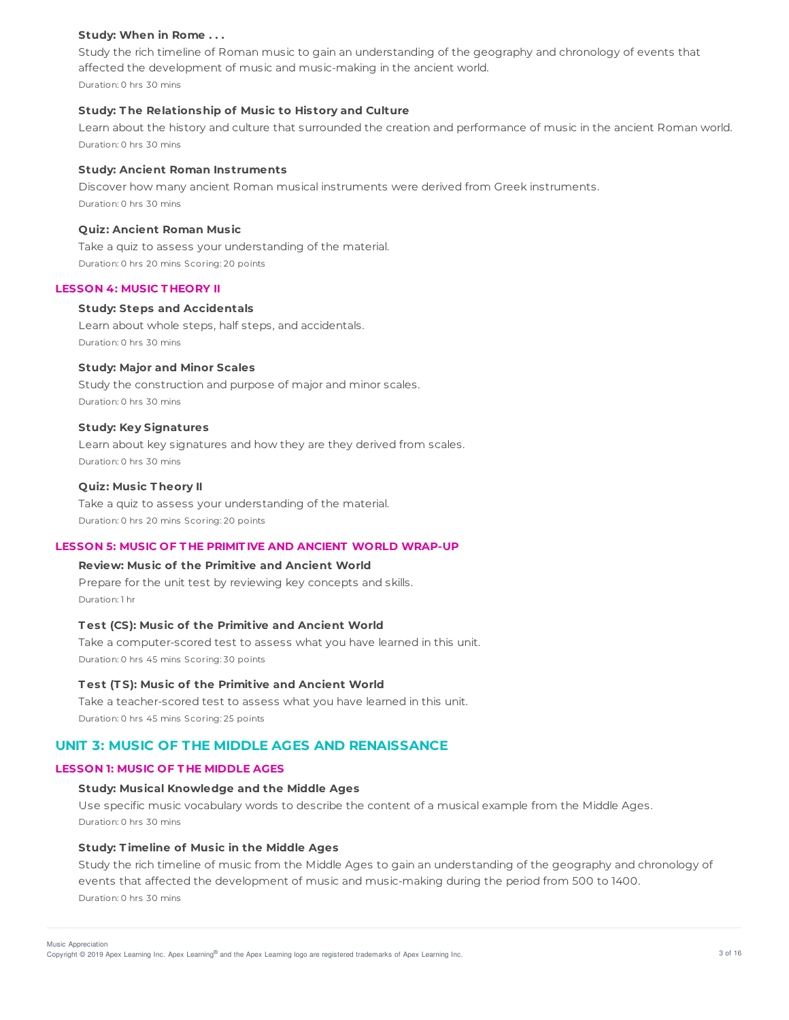## **Study: When in Rome . . .**

Study the rich timeline of Roman music to gain an understanding of the geography and chronology of events that affected the development of music and music-making in the ancient world. Duration: 0 hrs 30 mins

### **Study: T he Relationship of Music to History and Culture**

Learn about the history and culture that surrounded the creation and performance of music in the ancient Roman world. Duration: 0 hrs 30 mins

## **Study: Ancient Roman Instruments**

Discover how many ancient Roman musical instruments were derived from Greek instruments. Duration: 0 hrs 30 mins

### **Quiz: Ancient Roman Music**

Take a quiz to assess your understanding of the material. Duration: 0 hrs 20 mins Scoring: 20 points

### **LESSON 4: MUSIC T HEORY II**

#### **Study: Steps and Accidentals**

Learn about whole steps, half steps, and accidentals. Duration: 0 hrs 30 mins

## **Study: Major and Minor Scales**

Study the construction and purpose of major and minor scales. Duration: 0 hrs 30 mins

#### **Study: Key Signatures**

Learn about key signatures and how they are they derived from scales. Duration: 0 hrs 30 mins

### **Quiz: Music T heory II**

Take a quiz to assess your understanding of the material. Duration: 0 hrs 20 mins Scoring: 20 points

## **LESSON 5: MUSIC OF T HE PRIMIT IVE AND ANCIENT WORLD WRAP-UP**

## **Review: Music of the Primitive and Ancient World**

Prepare for the unit test by reviewing key concepts and skills. Duration: 1 hr

## **T est (CS): Music of the Primitive and Ancient World**

Take a computer-scored test to assess what you have learned in this unit. Duration: 0 hrs 45 mins Scoring: 30 points

### **T est (T S): Music of the Primitive and Ancient World**

Take a teacher-scored test to assess what you have learned in this unit. Duration: 0 hrs 45 mins Scoring: 25 points

# **UNIT 3: MUSIC OF THE MIDDLE AGES AND RENAISSANCE**

## **LESSON 1: MUSIC OF T HE MIDDLE AGES**

## **Study: Musical Knowledge and the Middle Ages**

Use specific music vocabulary words to describe the content of a musical example from the Middle Ages. Duration: 0 hrs 30 mins

## **Study: T imeline of Music in the Middle Ages**

Study the rich timeline of music from the Middle Ages to gain an understanding of the geography and chronology of events that affected the development of music and music-making during the period from 500 to 1400. Duration: 0 hrs 30 mins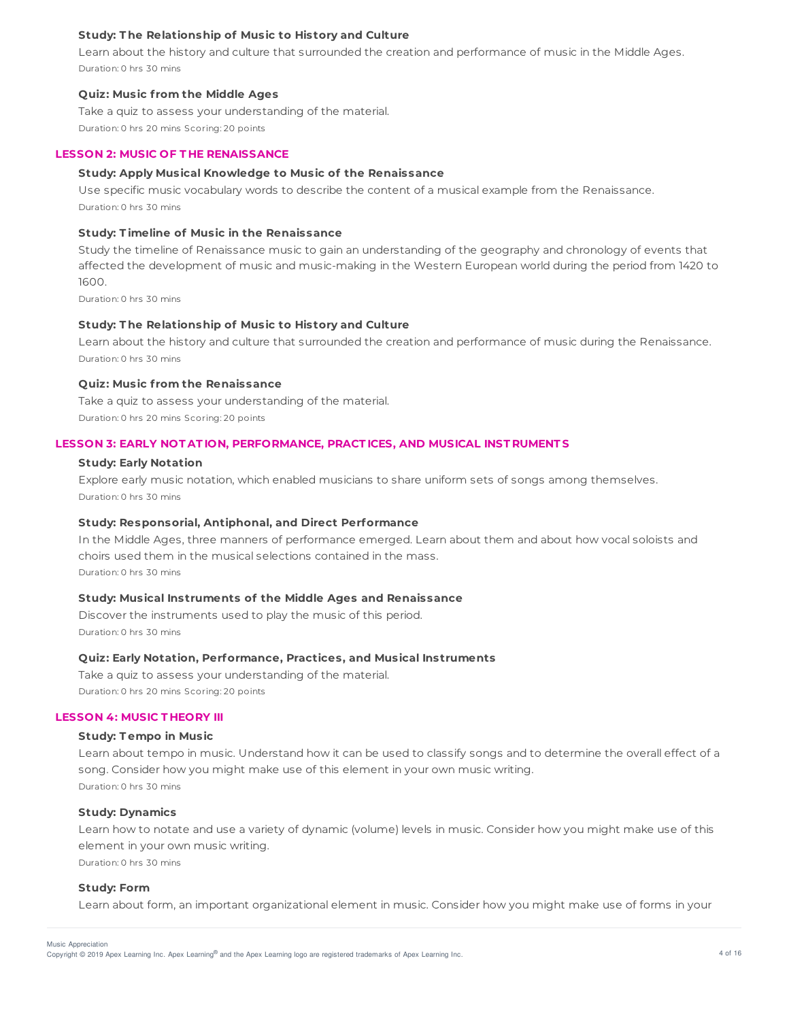## **Study: T he Relationship of Music to History and Culture**

Learn about the history and culture that surrounded the creation and performance of music in the Middle Ages. Duration: 0 hrs 30 mins

### **Quiz: Music f rom the Middle Ages**

Take a quiz to assess your understanding of the material. Duration: 0 hrs 20 mins Scoring: 20 points

### **LESSON 2: MUSIC OF T HE RENAISSANCE**

#### **Study: Apply Musical Knowledge to Music of the Renaissance**

Use specific music vocabulary words to describe the content of a musical example from the Renaissance. Duration: 0 hrs 30 mins

## **Study: T imeline of Music in the Renaissance**

Study the timeline of Renaissance music to gain an understanding of the geography and chronology of events that affected the development of music and music-making in the Western European world during the period from 1420 to 1600.

Duration: 0 hrs 30 mins

## **Study: T he Relationship of Music to History and Culture**

Learn about the history and culture that surrounded the creation and performance of music during the Renaissance. Duration: 0 hrs 30 mins

#### **Quiz: Music f rom the Renaissance**

Take a quiz to assess your understanding of the material. Duration: 0 hrs 20 mins Scoring: 20 points

#### **LESSON 3: EARLY NOT AT ION, PERFORMANCE, PRACT ICES, AND MUSICAL INST RUMENT S**

#### **Study: Early Notation**

Explore early music notation, which enabled musicians to share uniform sets of songs among themselves. Duration: 0 hrs 30 mins

## **Study: Responsorial, Antiphonal, and Direct Performance**

In the Middle Ages, three manners of performance emerged. Learn about them and about how vocal soloists and choirs used them in the musical selections contained in the mass. Duration: 0 hrs 30 mins

### **Study: Musical Instruments of the Middle Ages and Renaissance**

Discover the instruments used to play the music of this period. Duration: 0 hrs 30 mins

### **Quiz: Early Notation, Performance, Practices, and Musical Instruments**

Take a quiz to assess your understanding of the material. Duration: 0 hrs 20 mins Scoring: 20 points

#### **LESSON 4: MUSIC T HEORY III**

#### **Study: T empo in Music**

Learn about tempo in music. Understand how it can be used to classify songs and to determine the overall effect of a song. Consider how you might make use of this element in your own music writing. Duration: 0 hrs 30 mins

#### **Study: Dynamics**

Learn how to notate and use a variety of dynamic (volume) levels in music. Consider how you might make use of this element in your own music writing.

Duration: 0 hrs 30 mins

#### **Study: Form**

Learn about form, an important organizational element in music. Consider how you might make use of forms in your

Copyright © 2019 Apex Learning Inc. Apex Learning® and the Apex Learning logo are registered trademarks of Apex Learning Inc. 4 of 16 Music Appreciation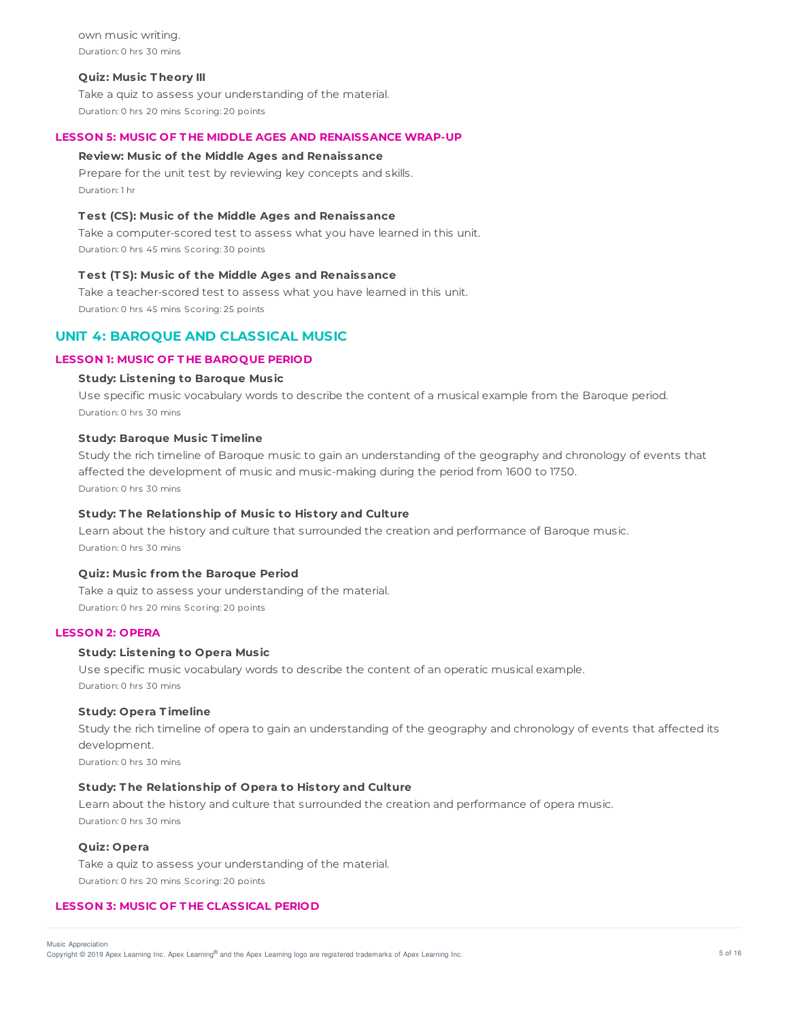own music writing. Duration: 0 hrs 30 mins

#### **Quiz: Music T heory III**

Take a quiz to assess your understanding of the material. Duration: 0 hrs 20 mins Scoring: 20 points

## **LESSON 5: MUSIC OF T HE MIDDLE AGES AND RENAISSANCE WRAP-UP**

#### **Review: Music of the Middle Ages and Renaissance**

Prepare for the unit test by reviewing key concepts and skills. Duration: 1 hr

## **T est (CS): Music of the Middle Ages and Renaissance**

Take a computer-scored test to assess what you have learned in this unit. Duration: 0 hrs 45 mins Scoring: 30 points

### **T est (T S): Music of the Middle Ages and Renaissance**

Take a teacher-scored test to assess what you have learned in this unit. Duration: 0 hrs 45 mins Scoring: 25 points

## **UNIT 4: BAROQUE AND CLASSICAL MUSIC**

## **LESSON 1: MUSIC OF T HE BAROQUE PERIOD**

### **Study: Listening to Baroque Music**

Use specific music vocabulary words to describe the content of a musical example from the Baroque period. Duration: 0 hrs 30 mins

## **Study: Baroque Music T imeline**

Study the rich timeline of Baroque music to gain an understanding of the geography and chronology of events that affected the development of music and music-making during the period from 1600 to 1750. Duration: 0 hrs 30 mins

## **Study: T he Relationship of Music to History and Culture**

Learn about the history and culture that surrounded the creation and performance of Baroque music. Duration: 0 hrs 30 mins

### **Quiz: Music f rom the Baroque Period**

Take a quiz to assess your understanding of the material. Duration: 0 hrs 20 mins Scoring: 20 points

#### **LESSON 2: OPERA**

### **Study: Listening to Opera Music**

Use specific music vocabulary words to describe the content of an operatic musical example. Duration: 0 hrs 30 mins

#### **Study: Opera T imeline**

Study the rich timeline of opera to gain an understanding of the geography and chronology of events that affected its development.

Duration: 0 hrs 30 mins

## **Study: T he Relationship of Opera to History and Culture**

Learn about the history and culture that surrounded the creation and performance of opera music. Duration: 0 hrs 30 mins

## **Quiz: Opera**

Take a quiz to assess your understanding of the material. Duration: 0 hrs 20 mins Scoring: 20 points

## **LESSON 3: MUSIC OF T HE CLASSICAL PERIOD**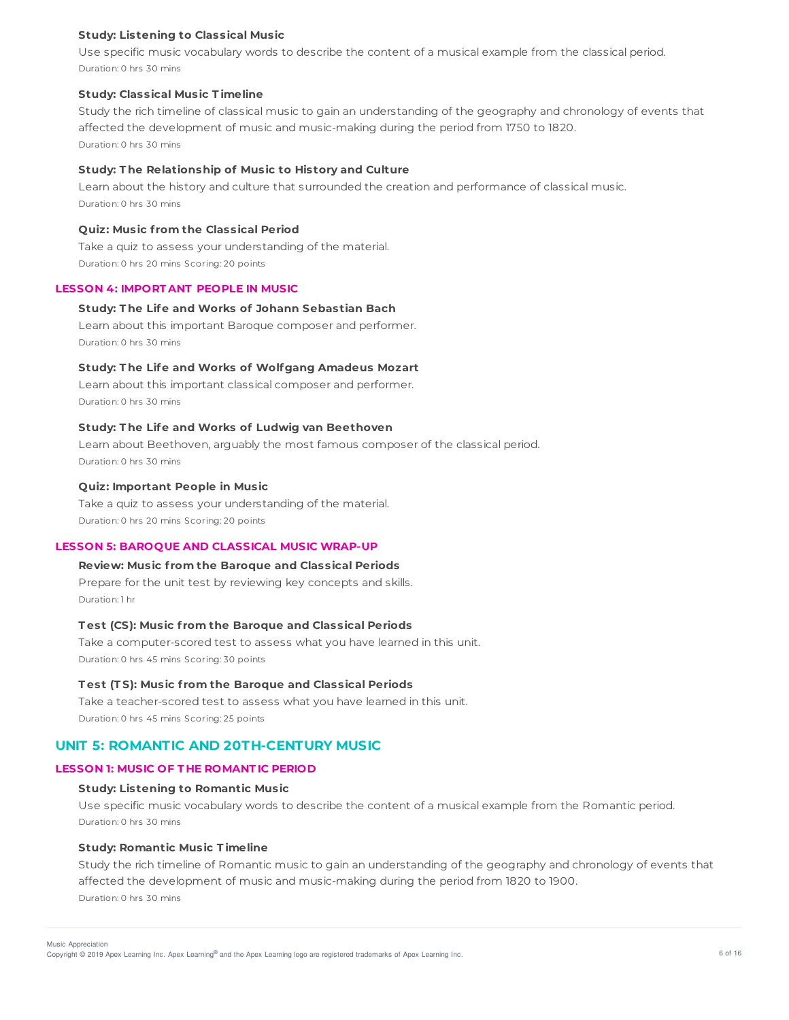## **Study: Listening to Classical Music**

Use specific music vocabulary words to describe the content of a musical example from the classical period. Duration: 0 hrs 30 mins

### **Study: Classical Music T imeline**

Study the rich timeline of classical music to gain an understanding of the geography and chronology of events that affected the development of music and music-making during the period from 1750 to 1820. Duration: 0 hrs 30 mins

## **Study: T he Relationship of Music to History and Culture**

Learn about the history and culture that surrounded the creation and performance of classical music. Duration: 0 hrs 30 mins

# **Quiz: Music f rom the Classical Period**

Take a quiz to assess your understanding of the material. Duration: 0 hrs 20 mins Scoring: 20 points

### **LESSON 4: IMPORT ANT PEOPLE IN MUSIC**

#### **Study: T he Life and Works of Johann Sebastian Bach**

Learn about this important Baroque composer and performer. Duration: 0 hrs 30 mins

## **Study: T he Life and Works of Wolfgang Amadeus Mozart**

Learn about this important classical composer and performer. Duration: 0 hrs 30 mins

#### **Study: T he Life and Works of Ludwig van Beethoven**

Learn about Beethoven, arguably the most famous composer of the classical period. Duration: 0 hrs 30 mins

### **Quiz: Important People in Music**

Take a quiz to assess your understanding of the material. Duration: 0 hrs 20 mins Scoring: 20 points

### **LESSON 5: BAROQUE AND CLASSICAL MUSIC WRAP-UP**

## **Review: Music f rom the Baroque and Classical Periods**

Prepare for the unit test by reviewing key concepts and skills. Duration: 1 hr

## **T est (CS): Music f rom the Baroque and Classical Periods**

Take a computer-scored test to assess what you have learned in this unit. Duration: 0 hrs 45 mins Scoring: 30 points

#### **T est (T S): Music f rom the Baroque and Classical Periods**

Take a teacher-scored test to assess what you have learned in this unit. Duration: 0 hrs 45 mins Scoring: 25 points

# **UNIT 5: ROMANTIC AND 20TH-CENTURY MUSIC**

## **LESSON 1: MUSIC OF T HE ROMANT IC PERIOD**

#### **Study: Listening to Romantic Music**

Use specific music vocabulary words to describe the content of a musical example from the Romantic period. Duration: 0 hrs 30 mins

## **Study: Romantic Music T imeline**

Study the rich timeline of Romantic music to gain an understanding of the geography and chronology of events that affected the development of music and music-making during the period from 1820 to 1900. Duration: 0 hrs 30 mins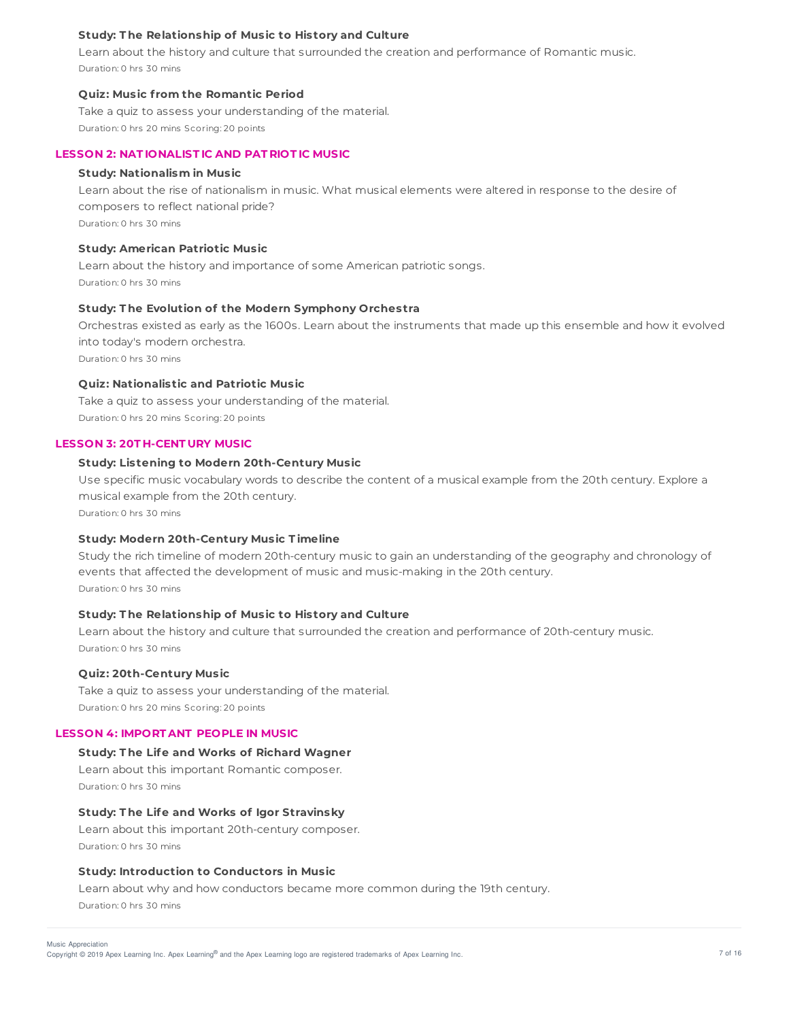## **Study: T he Relationship of Music to History and Culture**

Learn about the history and culture that surrounded the creation and performance of Romantic music. Duration: 0 hrs 30 mins

## **Quiz: Music f rom the Romantic Period**

Take a quiz to assess your understanding of the material. Duration: 0 hrs 20 mins Scoring: 20 points

### **LESSON 2: NAT IONALIST IC AND PAT RIOT IC MUSIC**

### **Study: Nationalism in Music**

Learn about the rise of nationalism in music. What musical elements were altered in response to the desire of composers to reflect national pride? Duration: 0 hrs 30 mins

**Study: American Patriotic Music**

Learn about the history and importance of some American patriotic songs. Duration: 0 hrs 30 mins

#### **Study: T he Evolution of the Modern Symphony Orchestra**

Orchestras existed as early as the 1600s. Learn about the instruments that made up this ensemble and how it evolved into today's modern orchestra. Duration: 0 hrs 30 mins

## **Quiz: Nationalistic and Patriotic Music**

Take a quiz to assess your understanding of the material. Duration: 0 hrs 20 mins Scoring: 20 points

#### **LESSON 3: 20T H-CENT URY MUSIC**

## **Study: Listening to Modern 20th-Century Music**

Use specific music vocabulary words to describe the content of a musical example from the 20th century. Explore a musical example from the 20th century.

Duration: 0 hrs 30 mins

## **Study: Modern 20th-Century Music T imeline**

Study the rich timeline of modern 20th-century music to gain an understanding of the geography and chronology of events that affected the development of music and music-making in the 20th century. Duration: 0 hrs 30 mins

## **Study: T he Relationship of Music to History and Culture**

Learn about the history and culture that surrounded the creation and performance of 20th-century music. Duration: 0 hrs 30 mins

### **Quiz: 20th-Century Music**

Take a quiz to assess your understanding of the material. Duration: 0 hrs 20 mins Scoring: 20 points

#### **LESSON 4: IMPORT ANT PEOPLE IN MUSIC**

## **Study: T he Life and Works of Richard Wagner**

Learn about this important Romantic composer. Duration: 0 hrs 30 mins

#### **Study: T he Life and Works of Igor Stravinsky**

Learn about this important 20th-century composer. Duration: 0 hrs 30 mins

#### **Study: Introduction to Conductors in Music**

Learn about why and how conductors became more common during the 19th century. Duration: 0 hrs 30 mins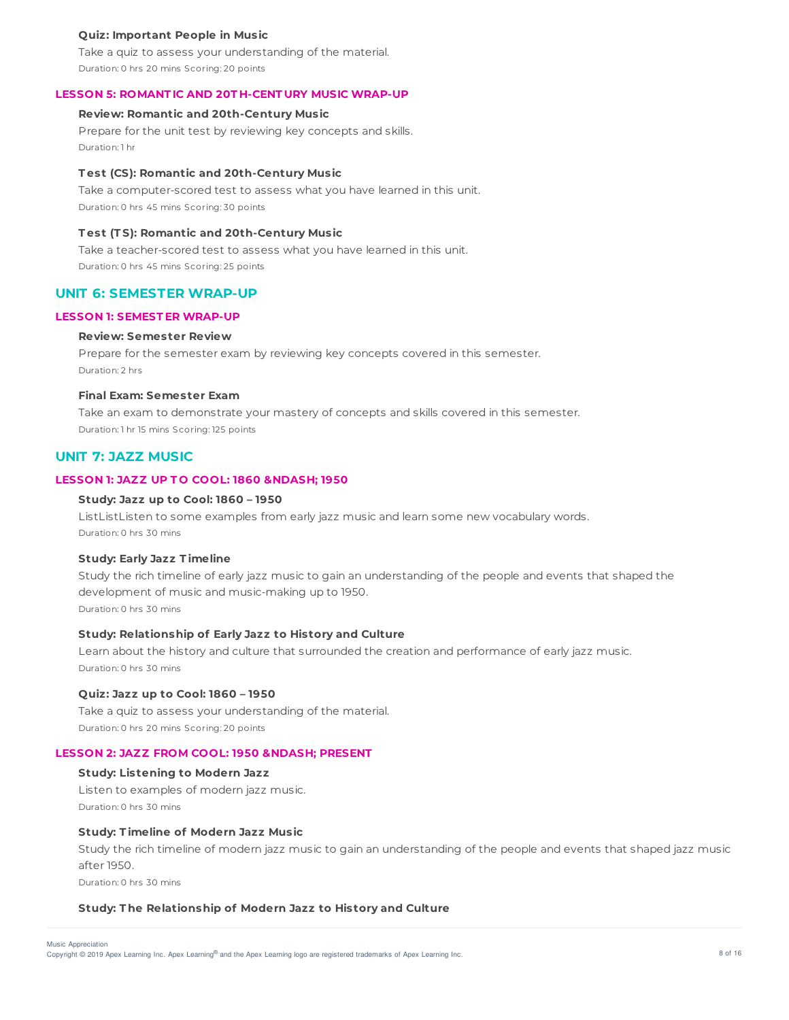## **Quiz: Important People in Music**

Take a quiz to assess your understanding of the material. Duration: 0 hrs 20 mins Scoring: 20 points

# **LESSON 5: ROMANT IC AND 20T H-CENT URY MUSIC WRAP-UP**

# **Review: Romantic and 20th-Century Music**

Prepare for the unit test by reviewing key concepts and skills. Duration: 1 hr

### **T est (CS): Romantic and 20th-Century Music**

Take a computer-scored test to assess what you have learned in this unit. Duration: 0 hrs 45 mins Scoring: 30 points

## **T est (T S): Romantic and 20th-Century Music**

Take a teacher-scored test to assess what you have learned in this unit. Duration: 0 hrs 45 mins Scoring: 25 points

## **UNIT 6: SEMESTER WRAP-UP**

#### **LESSON 1: SEMEST ER WRAP-UP**

#### **Review: Semester Review**

Prepare for the semester exam by reviewing key concepts covered in this semester. Duration: 2 hrs

## **Final Exam: Semester Exam**

Take an exam to demonstrate your mastery of concepts and skills covered in this semester. Duration: 1 hr 15 mins Scoring: 125 points

# **UNIT 7: JAZZ MUSIC**

## **LESSON 1: JAZZ UP T O COOL: 1860 – 1950**

#### **Study: Jazz up to Cool: 1860 – 1950**

ListListListen to some examples from early jazz music and learn some new vocabulary words. Duration: 0 hrs 30 mins

## **Study: Early Jazz T imeline**

Study the rich timeline of early jazz music to gain an understanding of the people and events that shaped the development of music and music-making up to 1950. Duration: 0 hrs 30 mins

## **Study: Relationship of Early Jazz to History and Culture**

Learn about the history and culture that surrounded the creation and performance of early jazz music. Duration: 0 hrs 30 mins

## **Quiz: Jazz up to Cool: 1860 – 1950**

Take a quiz to assess your understanding of the material. Duration: 0 hrs 20 mins Scoring: 20 points

## **LESSON 2: JAZZ FROM COOL: 1950 – PRESENT**

## **Study: Listening to Modern Jazz**

Listen to examples of modern jazz music. Duration: 0 hrs 30 mins

## **Study: T imeline of Modern Jazz Music**

Study the rich timeline of modern jazz music to gain an understanding of the people and events that shaped jazz music after 1950.

Duration: 0 hrs 30 mins

#### **Study: T he Relationship of Modern Jazz to History and Culture**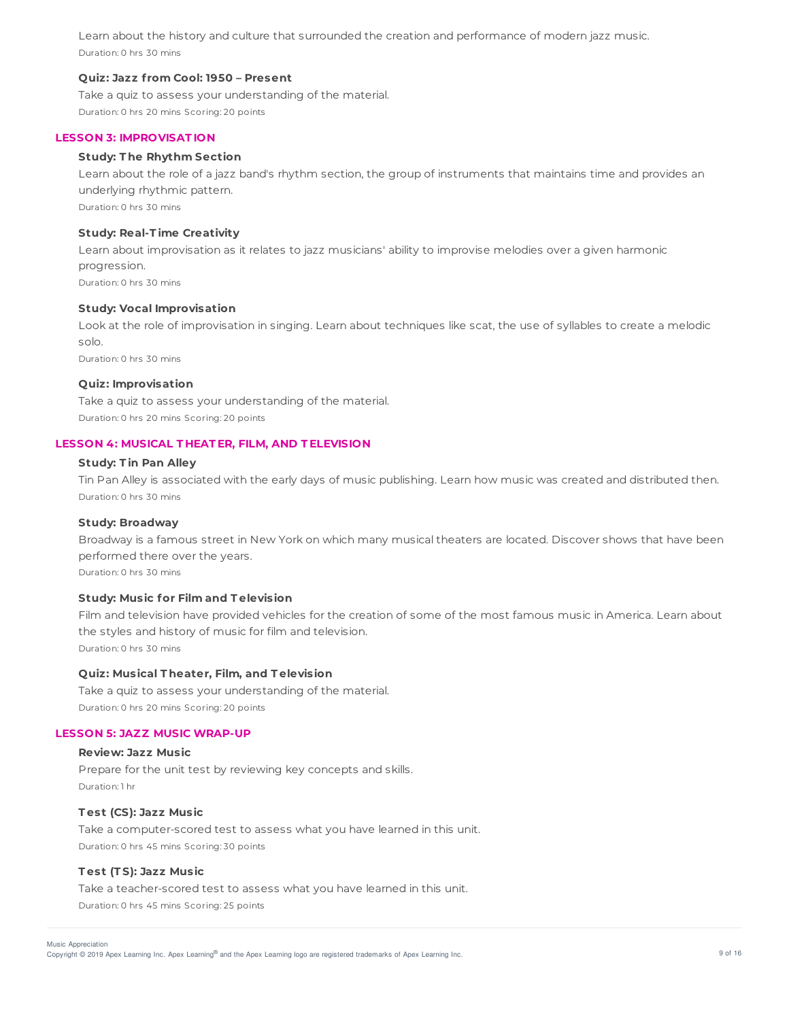Learn about the history and culture that surrounded the creation and performance of modern jazz music. Duration: 0 hrs 30 mins

## **Quiz: Jazz f rom Cool: 1950 – Present**

Take a quiz to assess your understanding of the material. Duration: 0 hrs 20 mins Scoring: 20 points

### **LESSON 3: IMPROVISAT ION**

## **Study: T he Rhythm Section**

Learn about the role of a jazz band's rhythm section, the group of instruments that maintains time and provides an underlying rhythmic pattern. Duration: 0 hrs 30 mins

## **Study: Real-T ime Creativity**

Learn about improvisation as it relates to jazz musicians' ability to improvise melodies over a given harmonic progression. Duration: 0 hrs 30 mins

#### **Study: Vocal Improvisation**

Look at the role of improvisation in singing. Learn about techniques like scat, the use of syllables to create a melodic solo. Duration: 0 hrs 30 mins

## **Quiz: Improvisation**

Take a quiz to assess your understanding of the material. Duration: 0 hrs 20 mins Scoring: 20 points

#### **LESSON 4: MUSICAL T HEAT ER, FILM, AND T ELEVISION**

### **Study: T in Pan Alley**

Tin Pan Alley is associated with the early days of music publishing. Learn how music was created and distributed then. Duration: 0 hrs 30 mins

## **Study: Broadway**

Broadway is a famous street in New York on which many musical theaters are located. Discover shows that have been performed there over the years.

Duration: 0 hrs 30 mins

### **Study: Music for Film and T elevision**

Film and television have provided vehicles for the creation of some of the most famous music in America. Learn about the styles and history of music for film and television. Duration: 0 hrs 30 mins

## **Quiz: Musical T heater, Film, and T elevision**

Take a quiz to assess your understanding of the material. Duration: 0 hrs 20 mins Scoring: 20 points

#### **LESSON 5: JAZZ MUSIC WRAP-UP**

## **Review: Jazz Music**

Prepare for the unit test by reviewing key concepts and skills. Duration: 1 hr

## **T est (CS): Jazz Music**

Take a computer-scored test to assess what you have learned in this unit. Duration: 0 hrs 45 mins Scoring: 30 points

## **T est (T S): Jazz Music**

Take a teacher-scored test to assess what you have learned in this unit. Duration: 0 hrs 45 mins Scoring: 25 points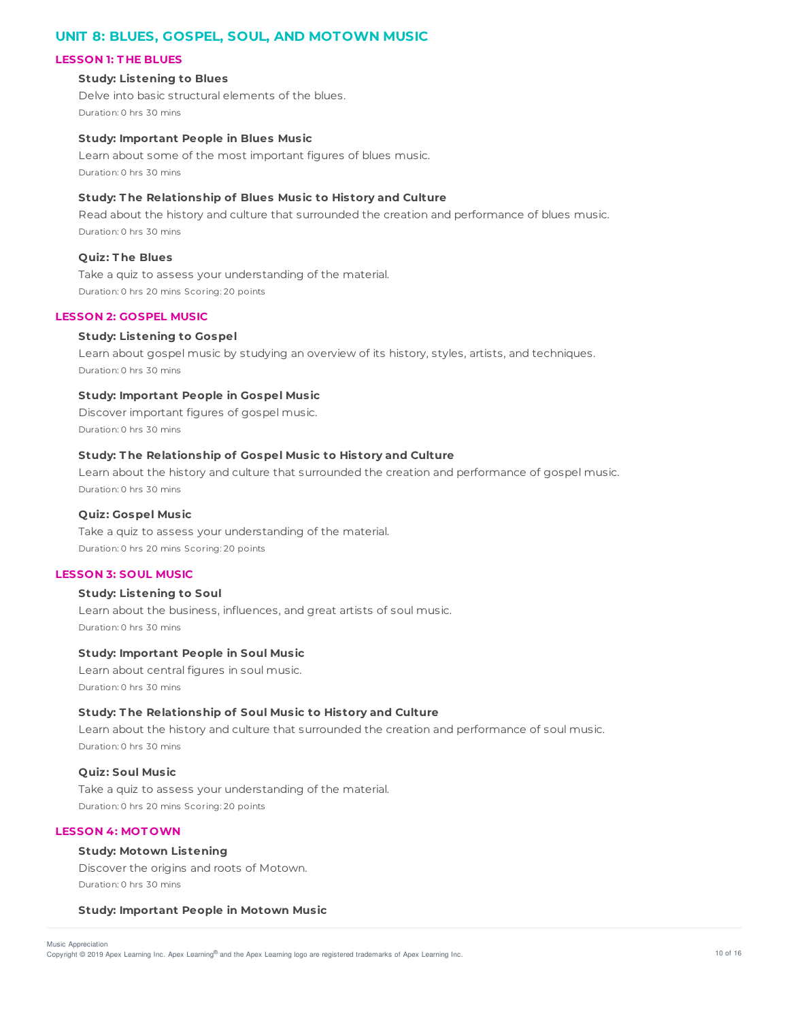# **UNIT 8: BLUES, GOSPEL, SOUL, AND MOTOWN MUSIC**

## **LESSON 1: T HE BLUES**

## **Study: Listening to Blues**

Delve into basic structural elements of the blues. Duration: 0 hrs 30 mins

## **Study: Important People in Blues Music**

Learn about some of the most important figures of blues music. Duration: 0 hrs 30 mins

## **Study: T he Relationship of Blues Music to History and Culture**

Read about the history and culture that surrounded the creation and performance of blues music. Duration: 0 hrs 30 mins

#### **Quiz: T he Blues**

Take a quiz to assess your understanding of the material. Duration: 0 hrs 20 mins Scoring: 20 points

### **LESSON 2: GOSPEL MUSIC**

#### **Study: Listening to Gospel**

Learn about gospel music by studying an overview of its history, styles, artists, and techniques. Duration: 0 hrs 30 mins

# **Study: Important People in Gospel Music**

Discover important figures of gospel music. Duration: 0 hrs 30 mins

#### **Study: T he Relationship of Gospel Music to History and Culture**

Learn about the history and culture that surrounded the creation and performance of gospel music. Duration: 0 hrs 30 mins

## **Quiz: Gospel Music**

Take a quiz to assess your understanding of the material. Duration: 0 hrs 20 mins Scoring: 20 points

## **LESSON 3: SOUL MUSIC**

## **Study: Listening to Soul**

Learn about the business, influences, and great artists of soul music. Duration: 0 hrs 30 mins

### **Study: Important People in Soul Music**

Learn about central figures in soul music. Duration: 0 hrs 30 mins

#### **Study: T he Relationship of Soul Music to History and Culture**

Learn about the history and culture that surrounded the creation and performance of soul music. Duration: 0 hrs 30 mins

## **Quiz: Soul Music**

Take a quiz to assess your understanding of the material. Duration: 0 hrs 20 mins Scoring: 20 points

## **LESSON 4: MOT OWN**

## **Study: Motown Listening**

Discover the origins and roots of Motown. Duration: 0 hrs 30 mins

#### **Study: Important People in Motown Music**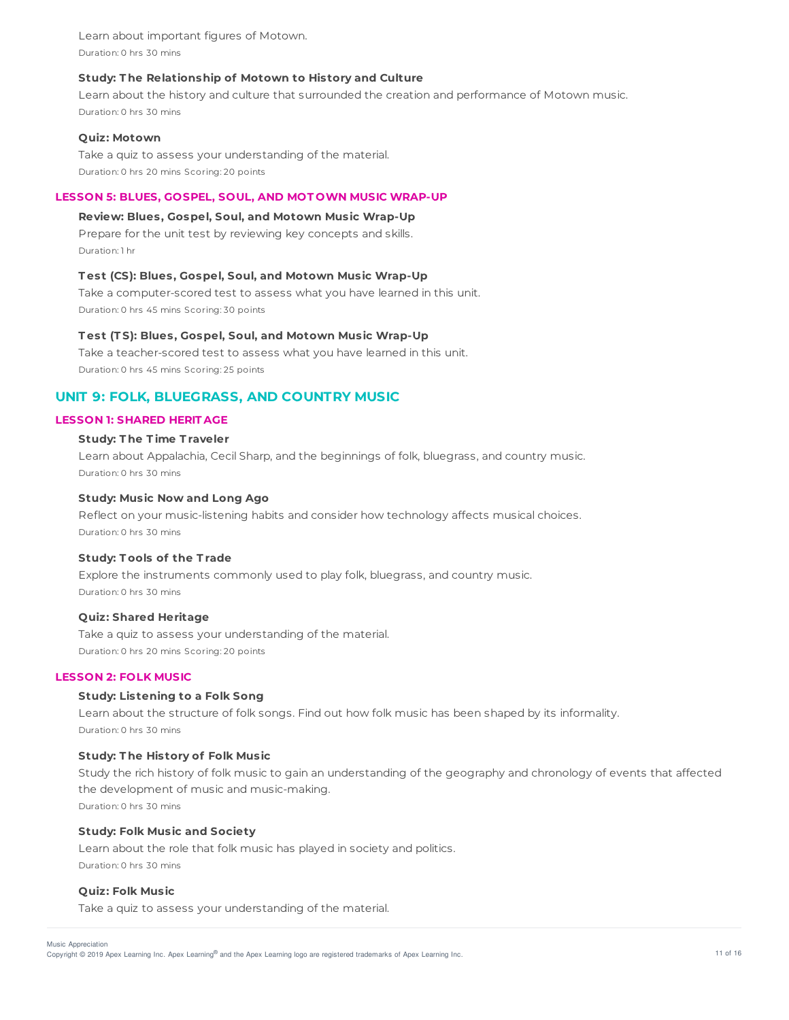Learn about important figures of Motown. Duration: 0 hrs 30 mins

## **Study: T he Relationship of Motown to History and Culture**

Learn about the history and culture that surrounded the creation and performance of Motown music. Duration: 0 hrs 30 mins

### **Quiz: Motown**

Take a quiz to assess your understanding of the material. Duration: 0 hrs 20 mins Scoring: 20 points

### **LESSON 5: BLUES, GOSPEL, SOUL, AND MOT OWN MUSIC WRAP-UP**

## **Review: Blues, Gospel, Soul, and Motown Music Wrap-Up**

Prepare for the unit test by reviewing key concepts and skills. Duration: 1 hr

### **T est (CS): Blues, Gospel, Soul, and Motown Music Wrap-Up**

Take a computer-scored test to assess what you have learned in this unit. Duration: 0 hrs 45 mins Scoring: 30 points

## **T est (T S): Blues, Gospel, Soul, and Motown Music Wrap-Up**

Take a teacher-scored test to assess what you have learned in this unit. Duration: 0 hrs 45 mins Scoring: 25 points

# **UNIT 9: FOLK, BLUEGRASS, AND COUNTRY MUSIC**

## **LESSON 1: SHARED HERIT AGE**

## **Study: T he T ime T raveler**

Learn about Appalachia, Cecil Sharp, and the beginnings of folk, bluegrass, and country music. Duration: 0 hrs 30 mins

### **Study: Music Now and Long Ago**

Reflect on your music-listening habits and consider how technology affects musical choices. Duration: 0 hrs 30 mins

## **Study: T ools of the T rade**

Explore the instruments commonly used to play folk, bluegrass, and country music. Duration: 0 hrs 30 mins

## **Quiz: Shared Heritage**

Take a quiz to assess your understanding of the material. Duration: 0 hrs 20 mins Scoring: 20 points

## **LESSON 2: FOLK MUSIC**

## **Study: Listening to a Folk Song**

Learn about the structure of folk songs. Find out how folk music has been shaped by its informality. Duration: 0 hrs 30 mins

### **Study: T he History of Folk Music**

Study the rich history of folk music to gain an understanding of the geography and chronology of events that affected the development of music and music-making. Duration: 0 hrs 30 mins

### **Study: Folk Music and Society**

Learn about the role that folk music has played in society and politics. Duration: 0 hrs 30 mins

## **Quiz: Folk Music**

Take a quiz to assess your understanding of the material.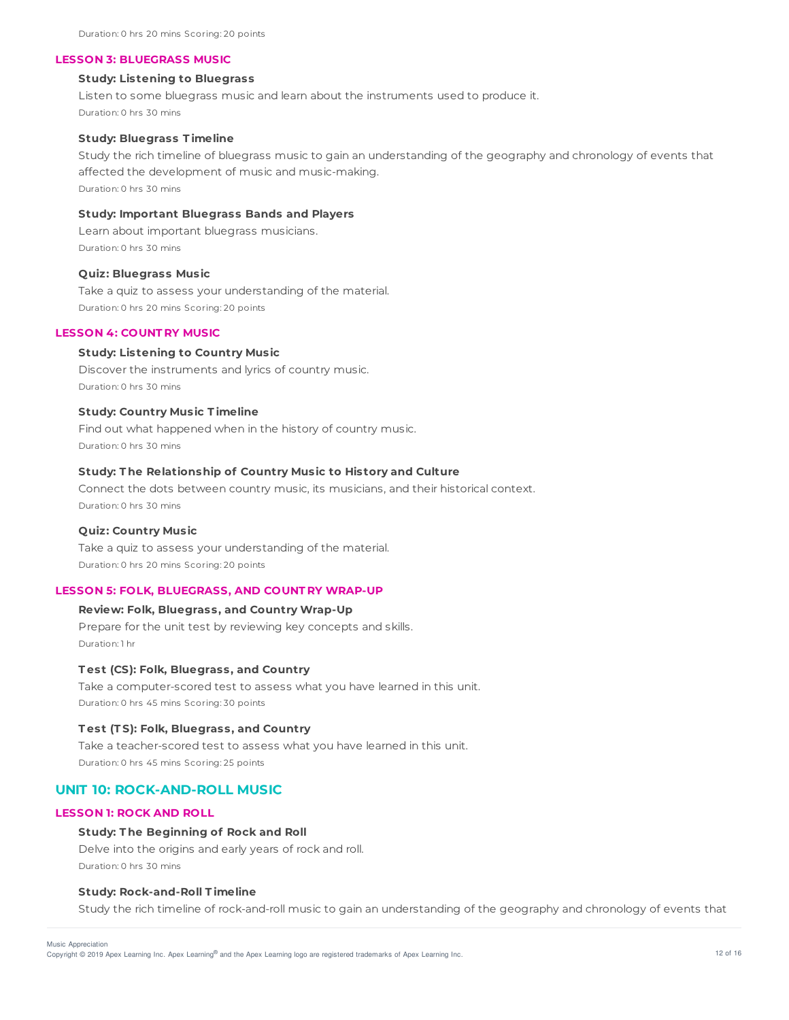#### **LESSON 3: BLUEGRASS MUSIC**

### **Study: Listening to Bluegrass**

Listen to some bluegrass music and learn about the instruments used to produce it. Duration: 0 hrs 30 mins

#### **Study: Bluegrass T imeline**

Study the rich timeline of bluegrass music to gain an understanding of the geography and chronology of events that affected the development of music and music-making. Duration: 0 hrs 30 mins

# **Study: Important Bluegrass Bands and Players**

Learn about important bluegrass musicians. Duration: 0 hrs 30 mins

#### **Quiz: Bluegrass Music**

Take a quiz to assess your understanding of the material. Duration: 0 hrs 20 mins Scoring: 20 points

## **LESSON 4: COUNT RY MUSIC**

## **Study: Listening to Country Music**

Discover the instruments and lyrics of country music. Duration: 0 hrs 30 mins

## **Study: Country Music T imeline**

Find out what happened when in the history of country music. Duration: 0 hrs 30 mins

## **Study: T he Relationship of Country Music to History and Culture**

Connect the dots between country music, its musicians, and their historical context. Duration: 0 hrs 30 mins

## **Quiz: Country Music**

Take a quiz to assess your understanding of the material. Duration: 0 hrs 20 mins Scoring: 20 points

#### **LESSON 5: FOLK, BLUEGRASS, AND COUNT RY WRAP-UP**

## **Review: Folk, Bluegrass, and Country Wrap-Up**

Prepare for the unit test by reviewing key concepts and skills. Duration: 1 hr

#### **T est (CS): Folk, Bluegrass, and Country**

Take a computer-scored test to assess what you have learned in this unit. Duration: 0 hrs 45 mins Scoring: 30 points

## **T est (T S): Folk, Bluegrass, and Country**

Take a teacher-scored test to assess what you have learned in this unit. Duration: 0 hrs 45 mins Scoring: 25 points

# **UNIT 10: ROCK-AND-ROLL MUSIC**

## **LESSON 1: ROCK AND ROLL**

### **Study: T he Beginning of Rock and Roll**

Delve into the origins and early years of rock and roll. Duration: 0 hrs 30 mins

## **Study: Rock-and-Roll T imeline**

Study the rich timeline of rock-and-roll music to gain an understanding of the geography and chronology of events that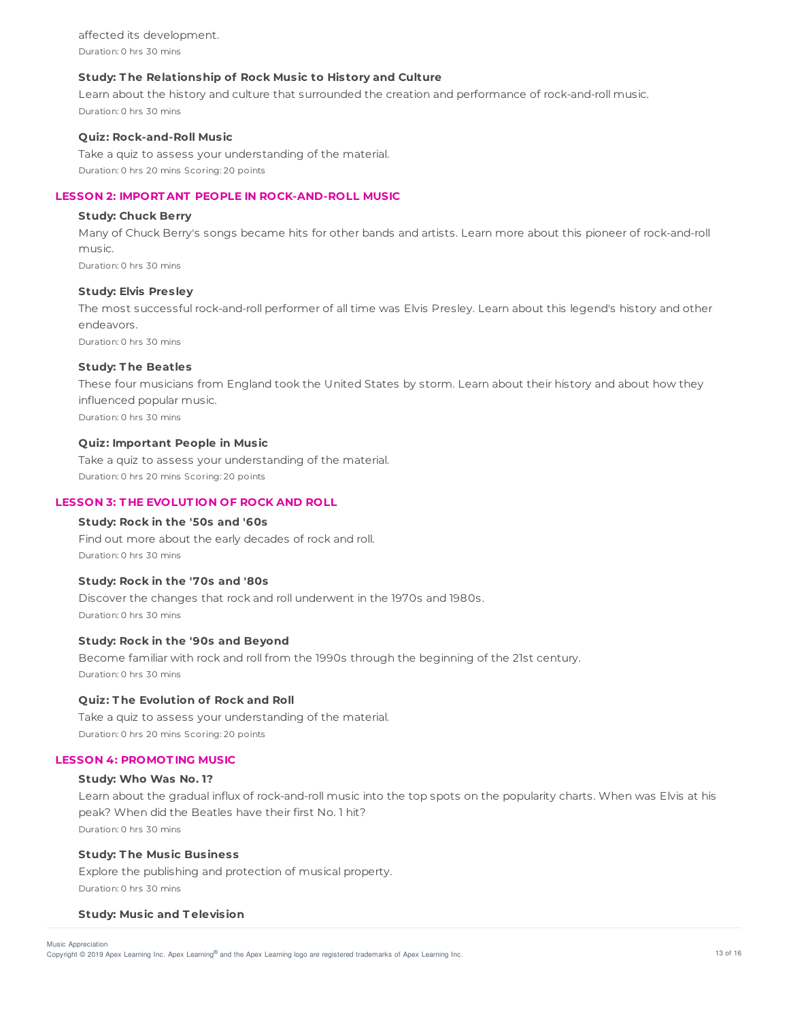affected its development. Duration: 0 hrs 30 mins

## **Study: T he Relationship of Rock Music to History and Culture**

Learn about the history and culture that surrounded the creation and performance of rock-and-roll music. Duration: 0 hrs 30 mins

### **Quiz: Rock-and-Roll Music**

Take a quiz to assess your understanding of the material. Duration: 0 hrs 20 mins Scoring: 20 points

## **LESSON 2: IMPORT ANT PEOPLE IN ROCK-AND-ROLL MUSIC**

## **Study: Chuck Berry**

Many of Chuck Berry's songs became hits for other bands and artists. Learn more about this pioneer of rock-and-roll music. Duration: 0 hrs 30 mins

### **Study: Elvis Presley**

The most successful rock-and-roll performer of all time was Elvis Presley. Learn about this legend's history and other endeavors.

Duration: 0 hrs 30 mins

## **Study: T he Beatles**

These four musicians from England took the United States by storm. Learn about their history and about how they influenced popular music. Duration: 0 hrs 30 mins

## **Quiz: Important People in Music**

Take a quiz to assess your understanding of the material. Duration: 0 hrs 20 mins Scoring: 20 points

# **LESSON 3: T HE EVOLUT ION OF ROCK AND ROLL**

# **Study: Rock in the '50s and '60s**

Find out more about the early decades of rock and roll. Duration: 0 hrs 30 mins

## **Study: Rock in the '70s and '80s**

Discover the changes that rock and roll underwent in the 1970s and 1980s. Duration: 0 hrs 30 mins

## **Study: Rock in the '90s and Beyond**

Become familiar with rock and roll from the 1990s through the beginning of the 21st century. Duration: 0 hrs 30 mins

### **Quiz: T he Evolution of Rock and Roll**

Take a quiz to assess your understanding of the material. Duration: 0 hrs 20 mins Scoring: 20 points

## **LESSON 4: PROMOT ING MUSIC**

## **Study: Who Was No. 1?**

Learn about the gradual influx of rock-and-roll music into the top spots on the popularity charts. When was Elvis at his peak? When did the Beatles have their first No. 1 hit? Duration: 0 hrs 30 mins

### **Study: T he Music Business**

Explore the publishing and protection of musical property. Duration: 0 hrs 30 mins

### **Study: Music and T elevision**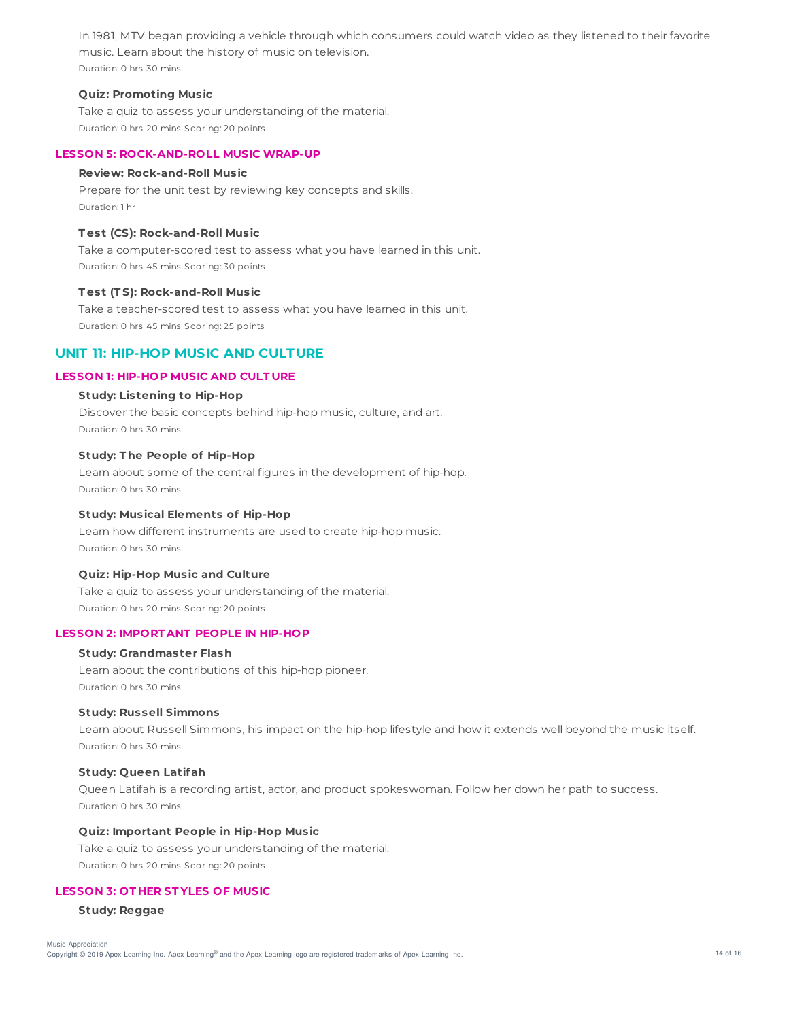In 1981, MTV began providing a vehicle through which consumers could watch video as they listened to their favorite music. Learn about the history of music on television. Duration: 0 hrs 30 mins

## **Quiz: Promoting Music**

Take a quiz to assess your understanding of the material. Duration: 0 hrs 20 mins Scoring: 20 points

### **LESSON 5: ROCK-AND-ROLL MUSIC WRAP-UP**

## **Review: Rock-and-Roll Music**

Prepare for the unit test by reviewing key concepts and skills. Duration: 1 hr

# **T est (CS): Rock-and-Roll Music**

Take a computer-scored test to assess what you have learned in this unit. Duration: 0 hrs 45 mins Scoring: 30 points

## **T est (T S): Rock-and-Roll Music**

Take a teacher-scored test to assess what you have learned in this unit. Duration: 0 hrs 45 mins Scoring: 25 points

# **UNIT 11: HIP-HOP MUSIC AND CULTURE**

# **LESSON 1: HIP-HOP MUSIC AND CULT URE**

## **Study: Listening to Hip-Hop**

Discover the basic concepts behind hip-hop music, culture, and art. Duration: 0 hrs 30 mins

## **Study: T he People of Hip-Hop**

Learn about some of the central figures in the development of hip-hop. Duration: 0 hrs 30 mins

## **Study: Musical Elements of Hip-Hop**

Learn how different instruments are used to create hip-hop music. Duration: 0 hrs 30 mins

## **Quiz: Hip-Hop Music and Culture**

Take a quiz to assess your understanding of the material. Duration: 0 hrs 20 mins Scoring: 20 points

### **LESSON 2: IMPORT ANT PEOPLE IN HIP-HOP**

## **Study: Grandmaster Flash**

Learn about the contributions of this hip-hop pioneer. Duration: 0 hrs 30 mins

### **Study: Russell Simmons**

Learn about Russell Simmons, his impact on the hip-hop lifestyle and how it extends well beyond the music itself. Duration: 0 hrs 30 mins

## **Study: Queen Latifah**

Queen Latifah is a recording artist, actor, and product spokeswoman. Follow her down her path to success. Duration: 0 hrs 30 mins

### **Quiz: Important People in Hip-Hop Music**

Take a quiz to assess your understanding of the material. Duration: 0 hrs 20 mins Scoring: 20 points

# **LESSON 3: OT HER ST YLES OF MUSIC**

**Study: Reggae**